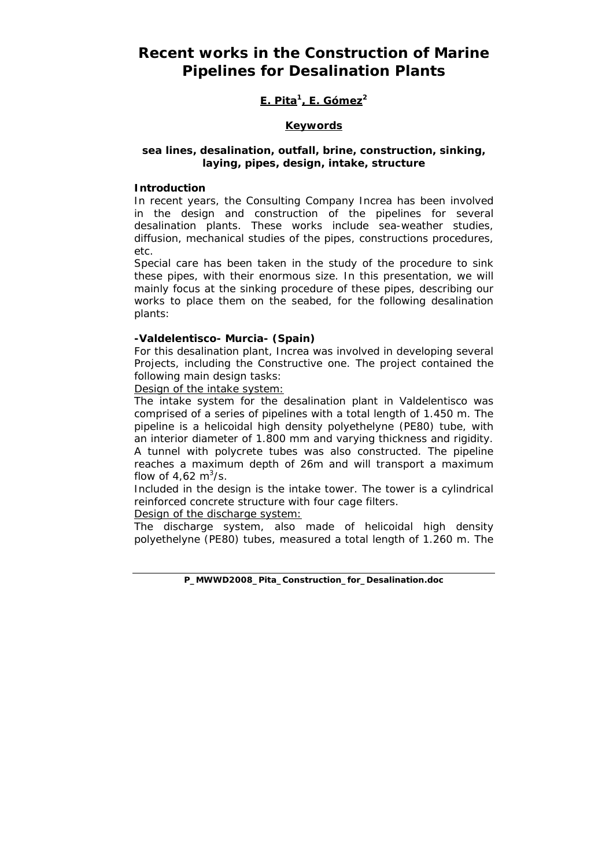# **Recent works in the Construction of Marine Pipelines for Desalination Plants**

# **E. Pita1, E. Gómez2**

# **Keywords**

# *sea lines, desalination, outfall, brine, construction, sinking, laying, pipes, design, intake, structure*

### **Introduction**

In recent years, the Consulting Company Increa has been involved in the design and construction of the pipelines for several desalination plants. These works include sea-weather studies, diffusion, mechanical studies of the pipes, constructions procedures, etc.

Special care has been taken in the study of the procedure to sink these pipes, with their enormous size. In this presentation, we will mainly focus at the sinking procedure of these pipes, describing our works to place them on the seabed, for the following desalination plants:

#### **-Valdelentisco- Murcia- (Spain)**

For this desalination plant, Increa was involved in developing several Projects, including the Constructive one. The project contained the following main design tasks:

Design of the intake system:

The intake system for the desalination plant in Valdelentisco was comprised of a series of pipelines with a total length of 1.450 m. The pipeline is a helicoidal high density polyethelyne (PE80) tube, with an interior diameter of 1.800 mm and varying thickness and rigidity. A tunnel with polycrete tubes was also constructed. The pipeline reaches a maximum depth of 26m and will transport a maximum flow of  $4,62 \text{ m}^3/\text{s}$ .

Included in the design is the intake tower. The tower is a cylindrical reinforced concrete structure with four cage filters.

Design of the discharge system:

The discharge system, also made of helicoidal high density polyethelyne (PE80) tubes, measured a total length of 1.260 m. The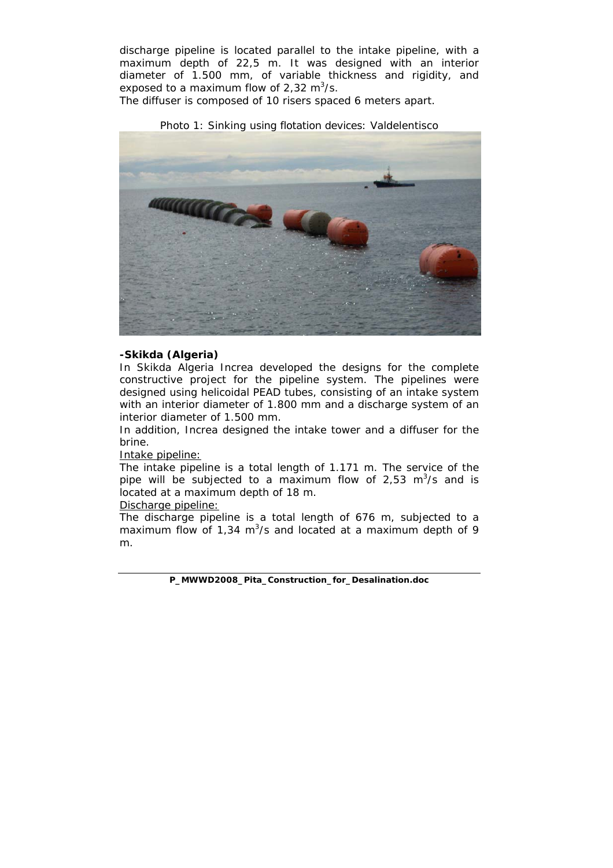discharge pipeline is located parallel to the intake pipeline, with a maximum depth of 22,5 m. It was designed with an interior diameter of 1.500 mm, of variable thickness and rigidity, and exposed to a maximum flow of 2,32  $m^3$ /s.

The diffuser is composed of 10 risers spaced 6 meters apart.

Photo 1: Sinking using flotation devices: Valdelentisco



#### **-Skikda (Algeria)**

In Skikda Algeria Increa developed the designs for the complete constructive project for the pipeline system. The pipelines were designed using helicoidal PEAD tubes, consisting of an intake system with an interior diameter of 1.800 mm and a discharge system of an interior diameter of 1.500 mm.

In addition, Increa designed the intake tower and a diffuser for the brine.

Intake pipeline:

The intake pipeline is a total length of 1.171 m. The service of the pipe will be subjected to a maximum flow of 2,53  $m^3/s$  and is located at a maximum depth of 18 m.

Discharge pipeline:

The discharge pipeline is a total length of 676 m, subjected to a maximum flow of 1,34  $m^3$ /s and located at a maximum depth of 9 m.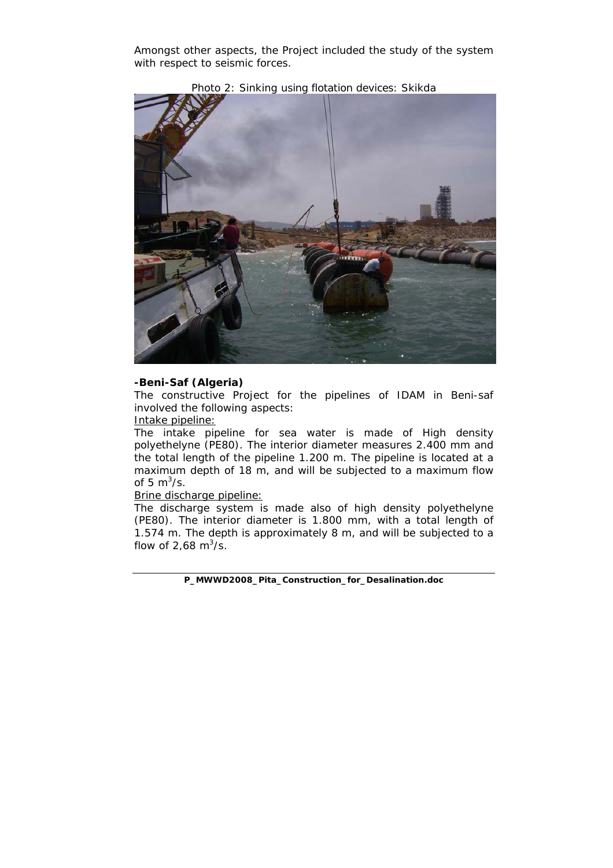Amongst other aspects, the Project included the study of the system with respect to seismic forces.



Photo 2: Sinking using flotation devices: Skikda

#### **-Beni-Saf (Algeria)**

The constructive Project for the pipelines of IDAM in Beni-saf involved the following aspects:

Intake pipeline:

The intake pipeline for sea water is made of High density polyethelyne (PE80). The interior diameter measures 2.400 mm and the total length of the pipeline 1.200 m. The pipeline is located at a maximum depth of 18 m, and will be subjected to a maximum flow of 5  $m^3/s$ .

### Brine discharge pipeline:

The discharge system is made also of high density polyethelyne (PE80). The interior diameter is 1.800 mm, with a total length of 1.574 m. The depth is approximately 8 m, and will be subjected to a flow of 2,68  $\text{m}^3/\text{s}$ .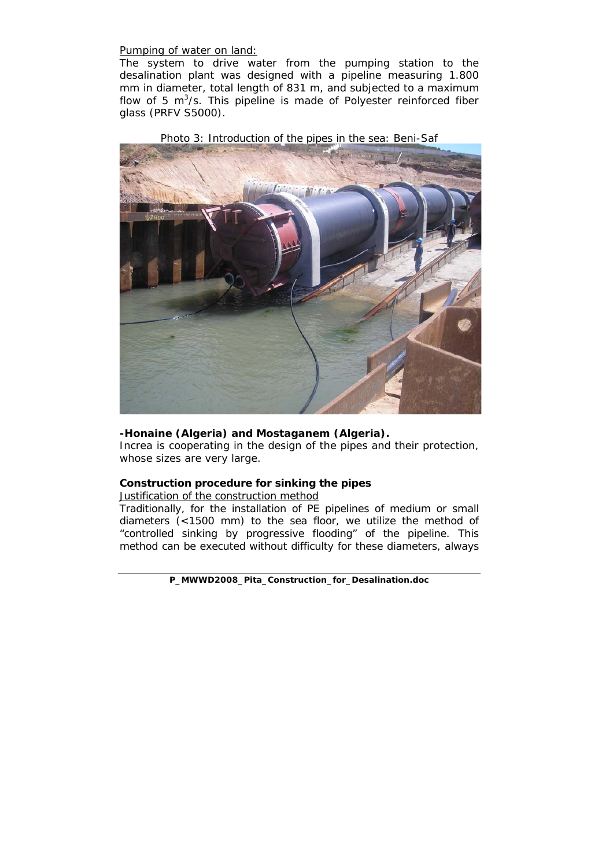Pumping of water on land:

The system to drive water from the pumping station to the desalination plant was designed with a pipeline measuring 1.800 mm in diameter, total length of 831 m, and subjected to a maximum flow of 5  $m^3/s$ . This pipeline is made of Polyester reinforced fiber glass (PRFV S5000).



Photo 3: Introduction of the pipes in the sea: Beni-Saf

#### **-Honaine (Algeria) and Mostaganem (Algeria).**

Increa is cooperating in the design of the pipes and their protection, whose sizes are very large.

#### **Construction procedure for sinking the pipes**

Justification of the construction method

Traditionally, for the installation of PE pipelines of medium or small diameters (<1500 mm) to the sea floor, we utilize the method of "controlled sinking by progressive flooding" of the pipeline. This method can be executed without difficulty for these diameters, always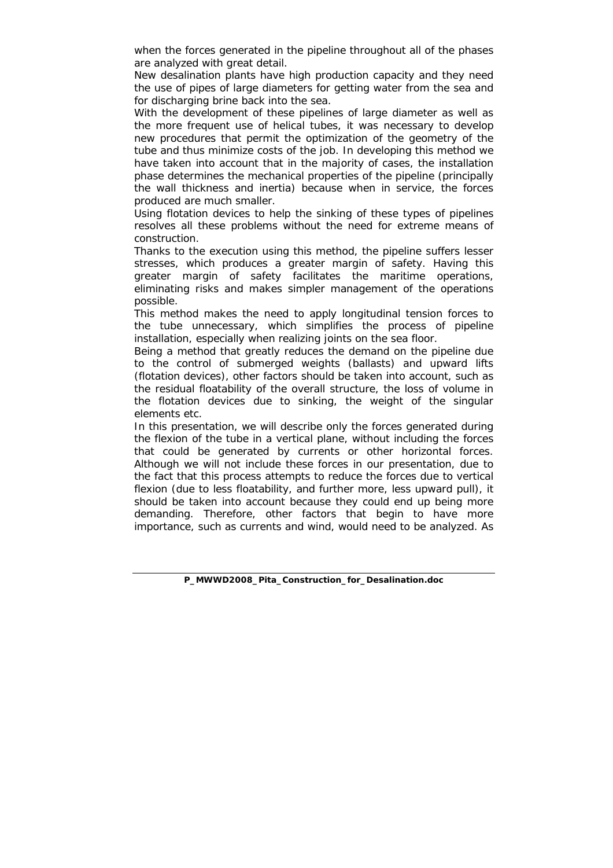when the forces generated in the pipeline throughout all of the phases are analyzed with great detail.

New desalination plants have high production capacity and they need the use of pipes of large diameters for getting water from the sea and for discharging brine back into the sea.

With the development of these pipelines of large diameter as well as the more frequent use of helical tubes, it was necessary to develop new procedures that permit the optimization of the geometry of the tube and thus minimize costs of the job. In developing this method we have taken into account that in the majority of cases, the installation phase determines the mechanical properties of the pipeline (principally the wall thickness and inertia) because when in service, the forces produced are much smaller.

Using flotation devices to help the sinking of these types of pipelines resolves all these problems without the need for extreme means of construction.

Thanks to the execution using this method, the pipeline suffers lesser stresses, which produces a greater margin of safety. Having this greater margin of safety facilitates the maritime operations, eliminating risks and makes simpler management of the operations possible.

This method makes the need to apply longitudinal tension forces to the tube unnecessary, which simplifies the process of pipeline installation, especially when realizing joints on the sea floor.

Being a method that greatly reduces the demand on the pipeline due to the control of submerged weights (ballasts) and upward lifts (flotation devices), other factors should be taken into account, such as the residual floatability of the overall structure, the loss of volume in the flotation devices due to sinking, the weight of the singular elements etc.

In this presentation, we will describe only the forces generated during the flexion of the tube in a vertical plane, without including the forces that could be generated by currents or other horizontal forces. Although we will not include these forces in our presentation, due to the fact that this process attempts to reduce the forces due to vertical flexion (due to less floatability, and further more, less upward pull), it should be taken into account because they could end up being more demanding. Therefore, other factors that begin to have more importance, such as currents and wind, would need to be analyzed. As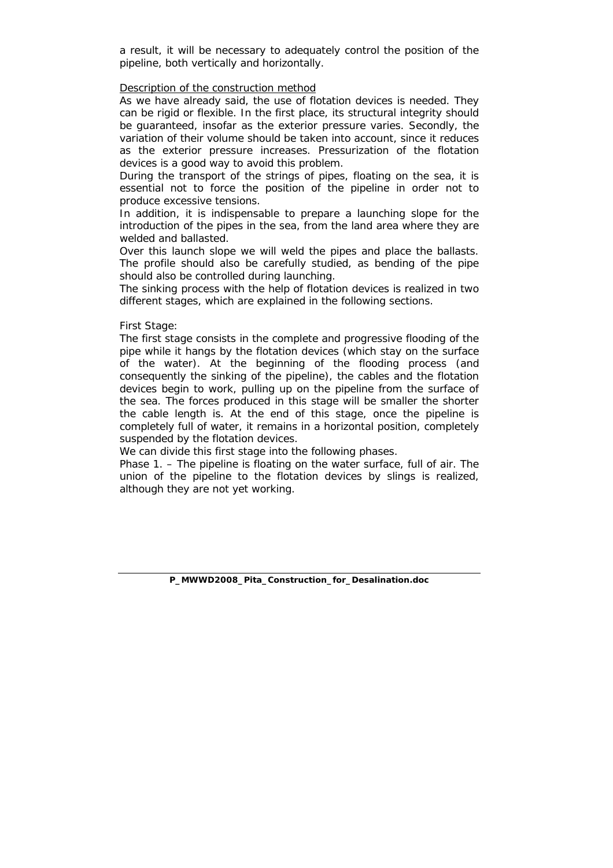a result, it will be necessary to adequately control the position of the pipeline, both vertically and horizontally.

#### Description of the construction method

As we have already said, the use of flotation devices is needed. They can be rigid or flexible. In the first place, its structural integrity should be guaranteed, insofar as the exterior pressure varies. Secondly, the variation of their volume should be taken into account, since it reduces as the exterior pressure increases. Pressurization of the flotation devices is a good way to avoid this problem.

During the transport of the strings of pipes, floating on the sea, it is essential not to force the position of the pipeline in order not to produce excessive tensions.

In addition, it is indispensable to prepare a launching slope for the introduction of the pipes in the sea, from the land area where they are welded and ballasted.

Over this launch slope we will weld the pipes and place the ballasts. The profile should also be carefully studied, as bending of the pipe should also be controlled during launching.

The sinking process with the help of flotation devices is realized in two different stages, which are explained in the following sections.

#### *First Stage:*

The first stage consists in the complete and progressive flooding of the pipe while it hangs by the flotation devices (which stay on the surface of the water). At the beginning of the flooding process (and consequently the sinking of the pipeline), the cables and the flotation devices begin to work, pulling up on the pipeline from the surface of the sea. The forces produced in this stage will be smaller the shorter the cable length is. At the end of this stage, once the pipeline is completely full of water, it remains in a horizontal position, completely suspended by the flotation devices.

We can divide this first stage into the following phases.

*Phase 1. –* The pipeline is floating on the water surface, full of air. The union of the pipeline to the flotation devices by slings is realized, although they are not yet working.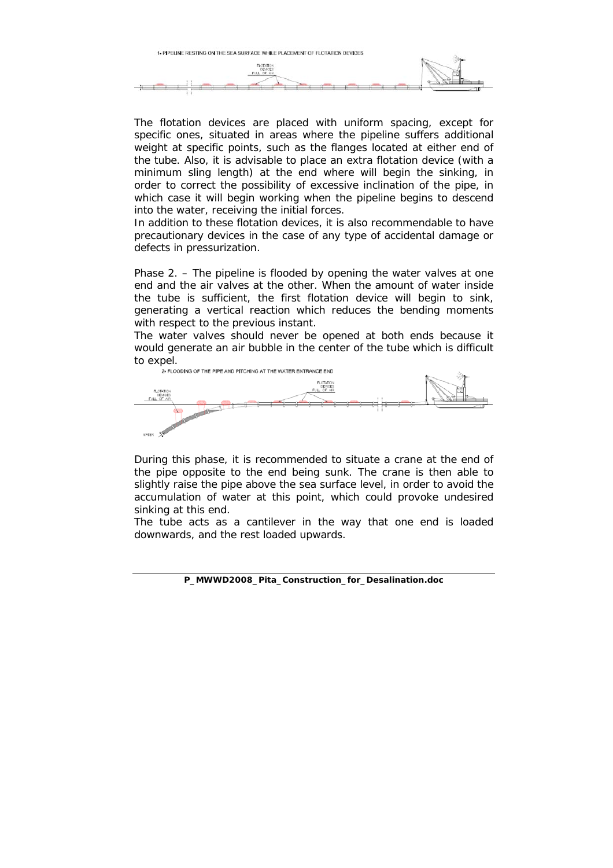

The flotation devices are placed with uniform spacing, except for specific ones, situated in areas where the pipeline suffers additional weight at specific points, such as the flanges located at either end of the tube. Also, it is advisable to place an extra flotation device (with a minimum sling length) at the end where will begin the sinking, in order to correct the possibility of excessive inclination of the pipe, in which case it will begin working when the pipeline begins to descend into the water, receiving the initial forces.

In addition to these flotation devices, it is also recommendable to have precautionary devices in the case of any type of accidental damage or defects in pressurization.

*Phase 2. –* The pipeline is flooded by opening the water valves at one end and the air valves at the other. When the amount of water inside the tube is sufficient, the first flotation device will begin to sink, generating a vertical reaction which reduces the bending moments with respect to the previous instant.

The water valves should never be opened at both ends because it would generate an air bubble in the center of the tube which is difficult to  $\text{expel}$ .<br>2- ELOODING OF THE PIPE AND PITCHING AT THE WATER ENTRANCE END



During this phase, it is recommended to situate a crane at the end of the pipe opposite to the end being sunk. The crane is then able to slightly raise the pipe above the sea surface level, in order to avoid the accumulation of water at this point, which could provoke undesired sinking at this end.

The tube acts as a cantilever in the way that one end is loaded downwards, and the rest loaded upwards.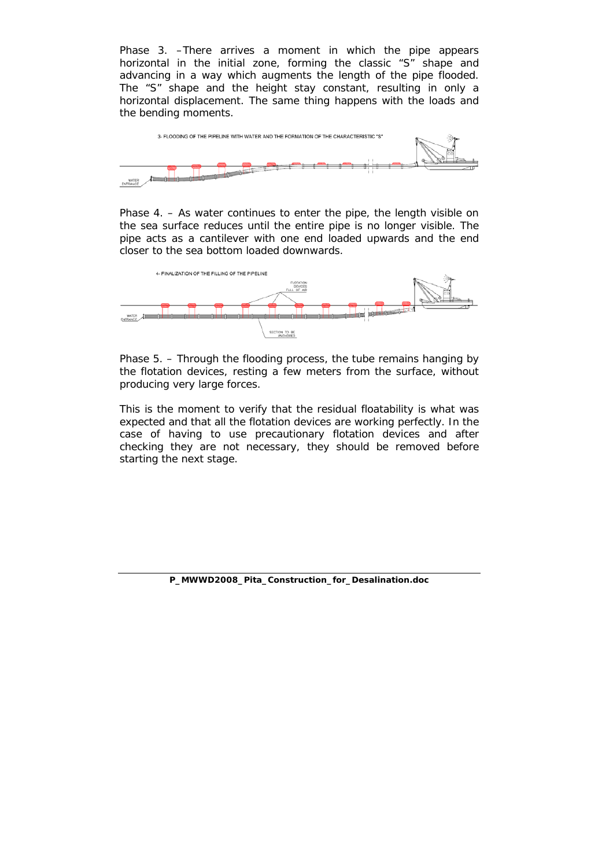*Phase 3. –*There arrives a moment in which the pipe appears horizontal in the initial zone, forming the classic "S" shape and advancing in a way which augments the length of the pipe flooded. The "S" shape and the height stay constant, resulting in only a horizontal displacement. The same thing happens with the loads and the bending moments.



*Phase 4. – As water continues to enter the pipe, the length visible on* the sea surface reduces until the entire pipe is no longer visible. The pipe acts as a cantilever with one end loaded upwards and the end closer to the sea bottom loaded downwards.



*Phase 5. –* Through the flooding process, the tube remains hanging by the flotation devices, resting a few meters from the surface, without producing very large forces.

This is the moment to verify that the residual floatability is what was expected and that all the flotation devices are working perfectly. In the case of having to use precautionary flotation devices and after checking they are not necessary, they should be removed before starting the next stage.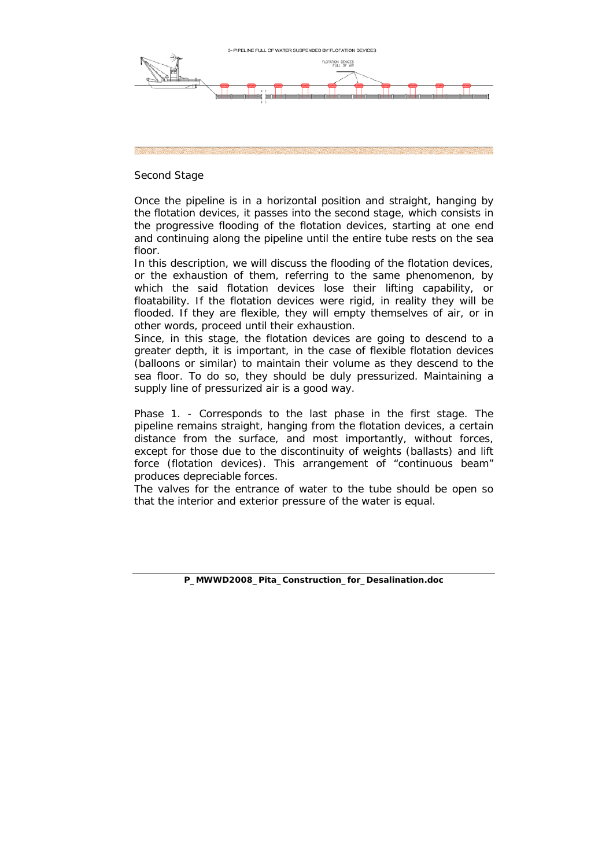

#### *Second Stage*

Once the pipeline is in a horizontal position and straight, hanging by the flotation devices, it passes into the second stage, which consists in the progressive flooding of the flotation devices, starting at one end and continuing along the pipeline until the entire tube rests on the sea floor.

In this description, we will discuss the flooding of the flotation devices, or the exhaustion of them, referring to the same phenomenon, by which the said flotation devices lose their lifting capability, or floatability. If the flotation devices were rigid, in reality they will be flooded. If they are flexible, they will empty themselves of air, or in other words, proceed until their exhaustion.

Since, in this stage, the flotation devices are going to descend to a greater depth, it is important, in the case of flexible flotation devices (balloons or similar) to maintain their volume as they descend to the sea floor. To do so, they should be duly pressurized. Maintaining a supply line of pressurized air is a good way.

*Phase 1. -* Corresponds to the last phase in the first stage. The pipeline remains straight, hanging from the flotation devices, a certain distance from the surface, and most importantly, without forces, except for those due to the discontinuity of weights (ballasts) and lift force (flotation devices). This arrangement of "continuous beam" produces depreciable forces.

The valves for the entrance of water to the tube should be open so that the interior and exterior pressure of the water is equal.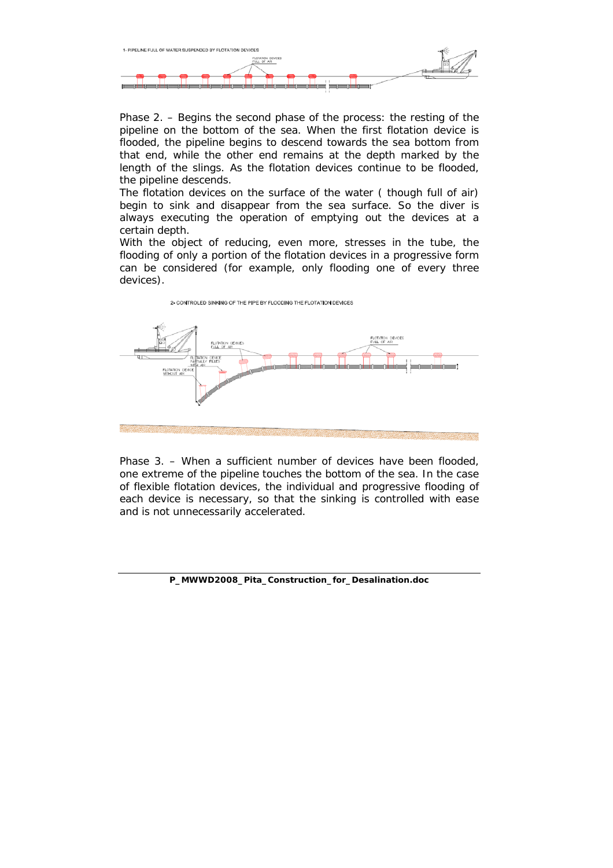

*Phase 2. –* Begins the second phase of the process: the resting of the pipeline on the bottom of the sea. When the first flotation device is flooded, the pipeline begins to descend towards the sea bottom from that end, while the other end remains at the depth marked by the length of the slings. As the flotation devices continue to be flooded, the pipeline descends.

The flotation devices on the surface of the water ( though full of air) begin to sink and disappear from the sea surface. So the diver is always executing the operation of emptying out the devices at a certain depth.

With the object of reducing, even more, stresses in the tube, the flooding of only a portion of the flotation devices in a progressive form can be considered (for example, only flooding one of every three devices).



*Phase 3. –* When a sufficient number of devices have been flooded, one extreme of the pipeline touches the bottom of the sea. In the case of flexible flotation devices, the individual and progressive flooding of each device is necessary, so that the sinking is controlled with ease and is not unnecessarily accelerated.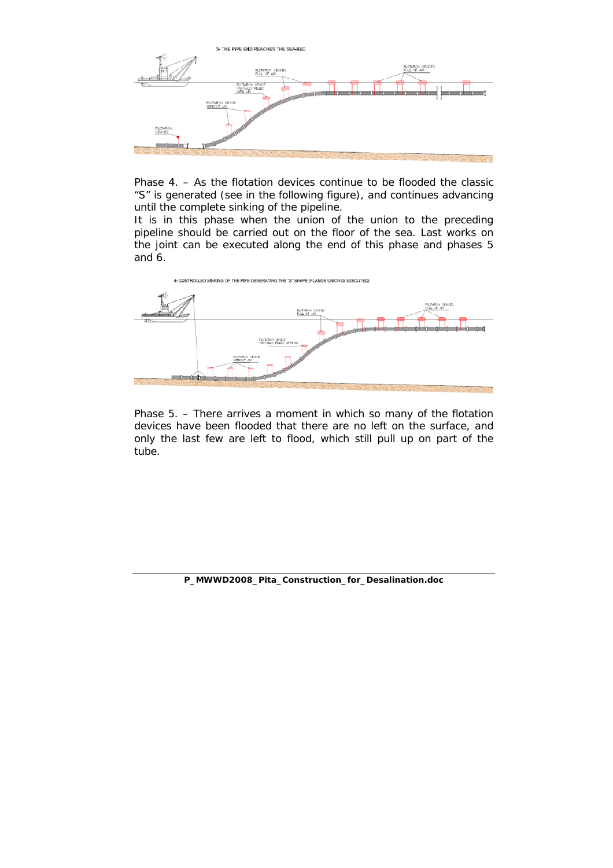

*Phase 4. –* As the flotation devices continue to be flooded the classic "S" is generated (see in the following figure), and continues advancing until the complete sinking of the pipeline.

It is in this phase when the union of the union to the preceding pipeline should be carried out on the floor of the sea. Last works on the joint can be executed along the end of this phase and phases 5 and 6.



*Phase 5. –* There arrives a moment in which so many of the flotation devices have been flooded that there are no left on the surface, and only the last few are left to flood, which still pull up on part of the tube.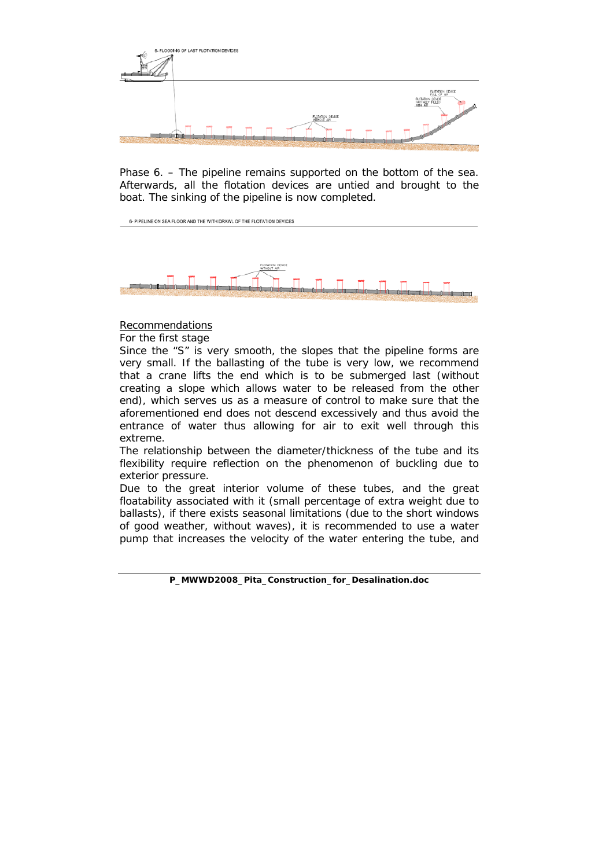

*Phase 6. –* The pipeline remains supported on the bottom of the sea. Afterwards, all the flotation devices are untied and brought to the boat. The sinking of the pipeline is now completed.



# **Recommendations**

*For the first stage* 

Since the "S" is very smooth, the slopes that the pipeline forms are very small. If the ballasting of the tube is very low, we recommend that a crane lifts the end which is to be submerged last (without creating a slope which allows water to be released from the other end), which serves us as a measure of control to make sure that the aforementioned end does not descend excessively and thus avoid the entrance of water thus allowing for air to exit well through this extreme.

The relationship between the diameter/thickness of the tube and its flexibility require reflection on the phenomenon of buckling due to exterior pressure.

Due to the great interior volume of these tubes, and the great floatability associated with it (small percentage of extra weight due to ballasts), if there exists seasonal limitations (due to the short windows of good weather, without waves), it is recommended to use a water pump that increases the velocity of the water entering the tube, and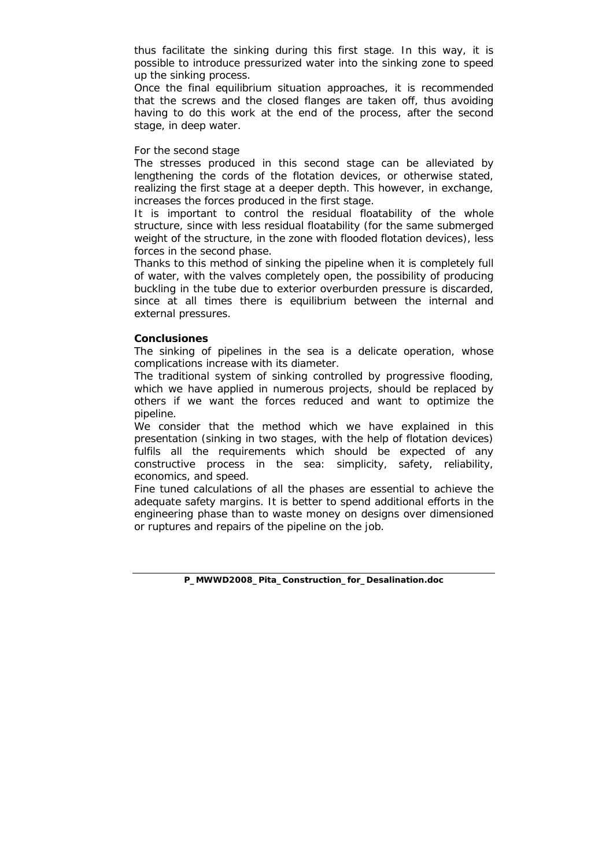thus facilitate the sinking during this first stage. In this way, it is possible to introduce pressurized water into the sinking zone to speed up the sinking process.

Once the final equilibrium situation approaches, it is recommended that the screws and the closed flanges are taken off, thus avoiding having to do this work at the end of the process, after the second stage, in deep water.

#### *For the second stage*

The stresses produced in this second stage can be alleviated by lengthening the cords of the flotation devices, or otherwise stated, realizing the first stage at a deeper depth. This however, in exchange, increases the forces produced in the first stage.

It is important to control the residual floatability of the whole structure, since with less residual floatability (for the same submerged weight of the structure, in the zone with flooded flotation devices), less forces in the second phase.

Thanks to this method of sinking the pipeline when it is completely full of water, with the valves completely open, the possibility of producing buckling in the tube due to exterior overburden pressure is discarded, since at all times there is equilibrium between the internal and external pressures.

#### **Conclusiones**

The sinking of pipelines in the sea is a delicate operation, whose complications increase with its diameter.

The traditional system of sinking controlled by progressive flooding, which we have applied in numerous projects, should be replaced by others if we want the forces reduced and want to optimize the pipeline.

We consider that the method which we have explained in this presentation (sinking in two stages, with the help of flotation devices) fulfils all the requirements which should be expected of any constructive process in the sea: simplicity, safety, reliability, economics, and speed.

Fine tuned calculations of all the phases are essential to achieve the adequate safety margins. It is better to spend additional efforts in the engineering phase than to waste money on designs over dimensioned or ruptures and repairs of the pipeline on the job.